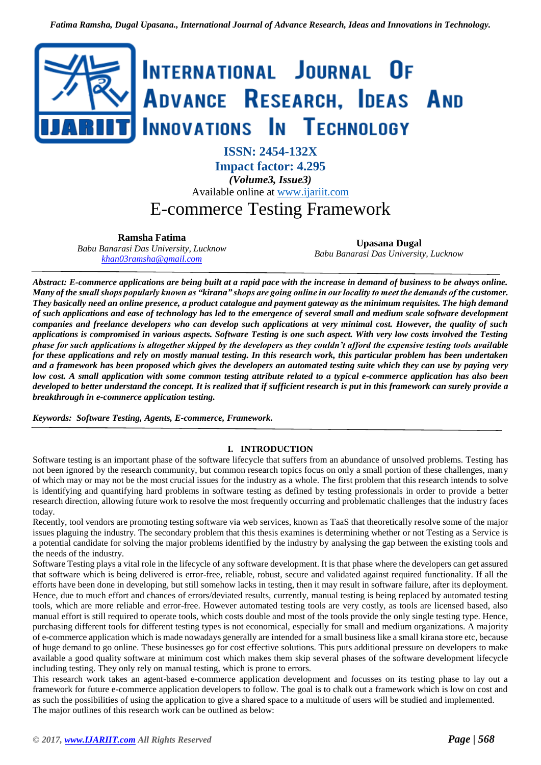

**ISSN: 2454-132X Impact factor: 4.295** *(Volume3, Issue3)*

Available online at [www.ijariit.com](file:///C:/Users/omak/Downloads/www.ijariit.com)

# E-commerce Testing Framework

**Ramsha Fatima**

*Babu Banarasi Das University, Lucknow <khan03ramsha@gmail.com>*

**Upasana Dugal** *Babu Banarasi Das University, Lucknow*

*Abstract: E-commerce applications are being built at a rapid pace with the increase in demand of business to be always online. Many of the small shops popularly known as "kirana" shops are going online in our locality to meet the demands of the customer. They basically need an online presence, a product catalogue and payment gateway as the minimum requisites. The high demand of such applications and ease of technology has led to the emergence of several small and medium scale software development companies and freelance developers who can develop such applications at very minimal cost. However, the quality of such applications is compromised in various aspects. Software Testing is one such aspect. With very low costs involved the Testing phase for such applications is altogether skipped by the developers as they couldn't afford the expensive testing tools available for these applications and rely on mostly manual testing. In this research work, this particular problem has been undertaken and a framework has been proposed which gives the developers an automated testing suite which they can use by paying very low cost. A small application with some common testing attribute related to a typical e-commerce application has also been developed to better understand the concept. It is realized that if sufficient research is put in this framework can surely provide a breakthrough in e-commerce application testing.*

*Keywords: Software Testing, Agents, E-commerce, Framework.*

# **I. INTRODUCTION**

Software testing is an important phase of the software lifecycle that suffers from an abundance of unsolved problems. Testing has not been ignored by the research community, but common research topics focus on only a small portion of these challenges, many of which may or may not be the most crucial issues for the industry as a whole. The first problem that this research intends to solve is identifying and quantifying hard problems in software testing as defined by testing professionals in order to provide a better research direction, allowing future work to resolve the most frequently occurring and problematic challenges that the industry faces today.

Recently, tool vendors are promoting testing software via web services, known as TaaS that theoretically resolve some of the major issues plaguing the industry. The secondary problem that this thesis examines is determining whether or not Testing as a Service is a potential candidate for solving the major problems identified by the industry by analysing the gap between the existing tools and the needs of the industry.

Software Testing plays a vital role in the lifecycle of any software development. It is that phase where the developers can get assured that software which is being delivered is error-free, reliable, robust, secure and validated against required functionality. If all the efforts have been done in developing, but still somehow lacks in testing, then it may result in software failure, after its deployment. Hence, due to much effort and chances of errors/deviated results, currently, manual testing is being replaced by automated testing tools, which are more reliable and error-free. However automated testing tools are very costly, as tools are licensed based, also manual effort is still required to operate tools, which costs double and most of the tools provide the only single testing type. Hence, purchasing different tools for different testing types is not economical, especially for small and medium organizations. A majority of e-commerce application which is made nowadays generally are intended for a small business like a small kirana store etc, because of huge demand to go online. These businesses go for cost effective solutions. This puts additional pressure on developers to make available a good quality software at minimum cost which makes them skip several phases of the software development lifecycle including testing. They only rely on manual testing, which is prone to errors.

This research work takes an agent-based e-commerce application development and focusses on its testing phase to lay out a framework for future e-commerce application developers to follow. The goal is to chalk out a framework which is low on cost and as such the possibilities of using the application to give a shared space to a multitude of users will be studied and implemented. The major outlines of this research work can be outlined as below: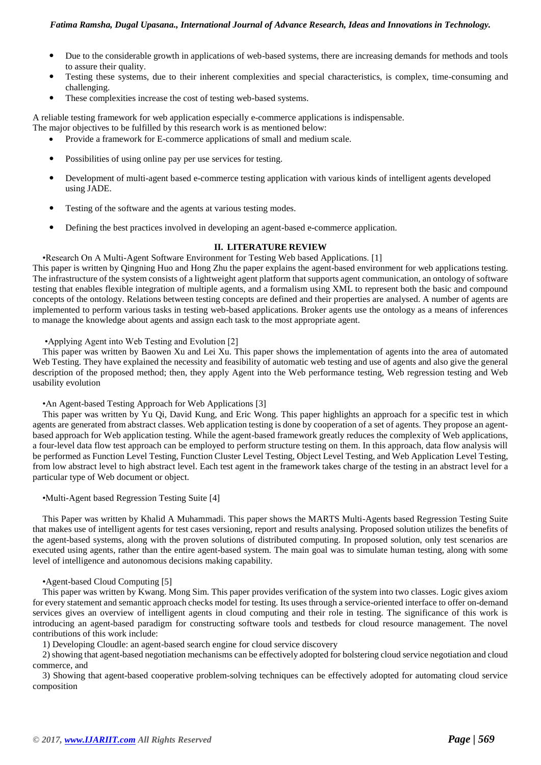## *Fatima Ramsha, Dugal Upasana., International Journal of Advance Research, Ideas and Innovations in Technology.*

- Due to the considerable growth in applications of web-based systems, there are increasing demands for methods and tools to assure their quality.
- Testing these systems, due to their inherent complexities and special characteristics, is complex, time-consuming and challenging.
- These complexities increase the cost of testing web-based systems.

A reliable testing framework for web application especially e-commerce applications is indispensable. The major objectives to be fulfilled by this research work is as mentioned below:

- Provide a framework for E-commerce applications of small and medium scale.
- Possibilities of using online pay per use services for testing.
- Development of multi-agent based e-commerce testing application with various kinds of intelligent agents developed using JADE.
- Testing of the software and the agents at various testing modes.
- Defining the best practices involved in developing an agent-based e-commerce application.

# **II. LITERATURE REVIEW**

•Research On A Multi-Agent Software Environment for Testing Web based Applications. [1] This paper is written by Qingning Huo and Hong Zhu the paper explains the agent-based environment for web applications testing. The infrastructure of the system consists of a lightweight agent platform that supports agent communication, an ontology of software testing that enables flexible integration of multiple agents, and a formalism using XML to represent both the basic and compound concepts of the ontology. Relations between testing concepts are defined and their properties are analysed. A number of agents are implemented to perform various tasks in testing web-based applications. Broker agents use the ontology as a means of inferences to manage the knowledge about agents and assign each task to the most appropriate agent.

## •Applying Agent into Web Testing and Evolution [2]

This paper was written by Baowen Xu and Lei Xu. This paper shows the implementation of agents into the area of automated Web Testing. They have explained the necessity and feasibility of automatic web testing and use of agents and also give the general description of the proposed method; then, they apply Agent into the Web performance testing, Web regression testing and Web usability evolution

## •An Agent-based Testing Approach for Web Applications [3]

This paper was written by Yu Qi, David Kung, and Eric Wong. This paper highlights an approach for a specific test in which agents are generated from abstract classes. Web application testing is done by cooperation of a set of agents. They propose an agentbased approach for Web application testing. While the agent-based framework greatly reduces the complexity of Web applications, a four-level data flow test approach can be employed to perform structure testing on them. In this approach, data flow analysis will be performed as Function Level Testing, Function Cluster Level Testing, Object Level Testing, and Web Application Level Testing, from low abstract level to high abstract level. Each test agent in the framework takes charge of the testing in an abstract level for a particular type of Web document or object.

•Multi-Agent based Regression Testing Suite [4]

This Paper was written by Khalid A Muhammadi. This paper shows the MARTS Multi-Agents based Regression Testing Suite that makes use of intelligent agents for test cases versioning, report and results analysing. Proposed solution utilizes the benefits of the agent-based systems, along with the proven solutions of distributed computing. In proposed solution, only test scenarios are executed using agents, rather than the entire agent-based system. The main goal was to simulate human testing, along with some level of intelligence and autonomous decisions making capability.

## •Agent-based Cloud Computing [5]

This paper was written by Kwang. Mong Sim. This paper provides verification of the system into two classes. Logic gives axiom for every statement and semantic approach checks model for testing. Its uses through a service-oriented interface to offer on-demand services gives an overview of intelligent agents in cloud computing and their role in testing. The significance of this work is introducing an agent-based paradigm for constructing software tools and testbeds for cloud resource management. The novel contributions of this work include:

1) Developing Cloudle: an agent-based search engine for cloud service discovery

2) showing that agent-based negotiation mechanisms can be effectively adopted for bolstering cloud service negotiation and cloud commerce, and

3) Showing that agent-based cooperative problem-solving techniques can be effectively adopted for automating cloud service composition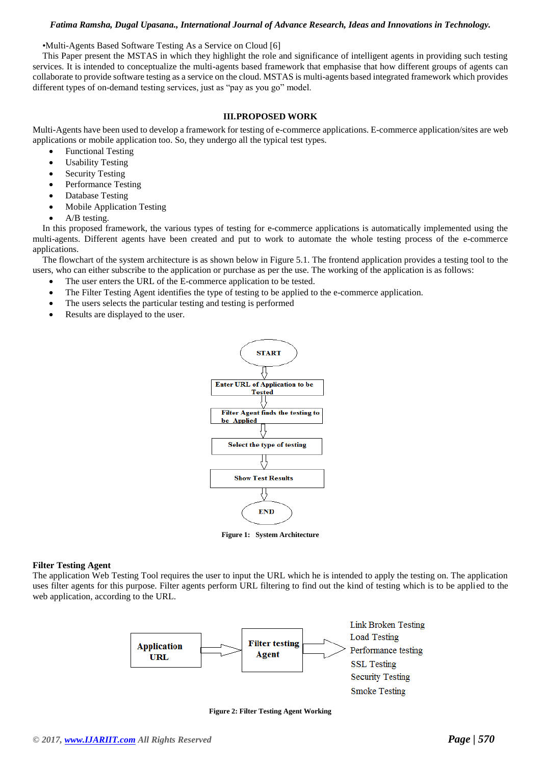#### *Fatima Ramsha, Dugal Upasana., International Journal of Advance Research, Ideas and Innovations in Technology.*

•Multi-Agents Based Software Testing As a Service on Cloud [6]

This Paper present the MSTAS in which they highlight the role and significance of intelligent agents in providing such testing services. It is intended to conceptualize the multi-agents based framework that emphasise that how different groups of agents can collaborate to provide software testing as a service on the cloud. MSTAS is multi-agents based integrated framework which provides different types of on-demand testing services, just as "pay as you go" model.

#### **III.PROPOSED WORK**

Multi-Agents have been used to develop a framework for testing of e-commerce applications. E-commerce application/sites are web applications or mobile application too. So, they undergo all the typical test types.

- Functional Testing
- Usability Testing
- Security Testing
- Performance Testing
- Database Testing
- Mobile Application Testing
- A/B testing.

In this proposed framework, the various types of testing for e-commerce applications is automatically implemented using the multi-agents. Different agents have been created and put to work to automate the whole testing process of the e-commerce applications.

The flowchart of the system architecture is as shown below in Figure 5.1. The frontend application provides a testing tool to the users, who can either subscribe to the application or purchase as per the use. The working of the application is as follows:

- The user enters the URL of the E-commerce application to be tested.
- The Filter Testing Agent identifies the type of testing to be applied to the e-commerce application.
- The users selects the particular testing and testing is performed
- Results are displayed to the user.



**Figure 1: System Architecture** 

#### **Filter Testing Agent**

The application Web Testing Tool requires the user to input the URL which he is intended to apply the testing on. The application uses filter agents for this purpose. Filter agents perform URL filtering to find out the kind of testing which is to be applied to the web application, according to the URL.



**Figure 2: Filter Testing Agent Working**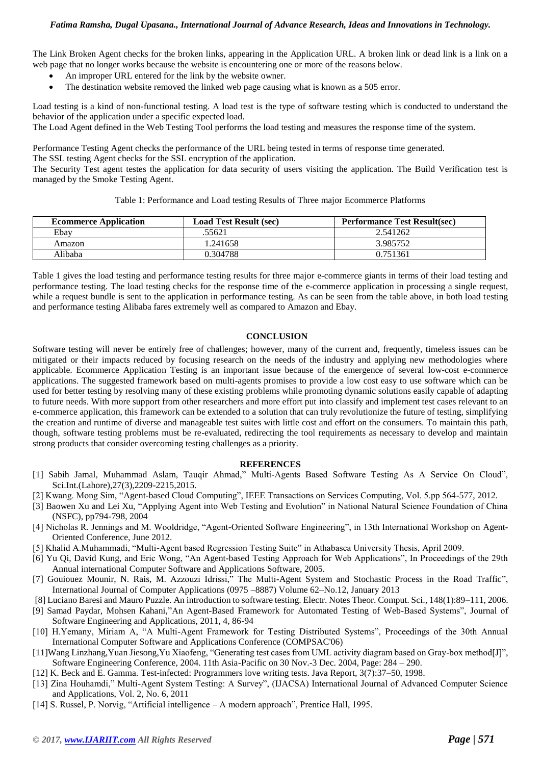The Link Broken Agent checks for the broken links, appearing in the Application URL. A broken link or dead link is a link on a web page that no longer works because the website is encountering one or more of the reasons below.

- An improper URL entered for the link by the website owner.
- The destination website removed the linked web page causing what is known as a 505 error.

Load testing is a kind of non-functional testing. A load test is the type of software testing which is conducted to understand the behavior of the application under a specific expected load.

The Load Agent defined in the Web Testing Tool performs the load testing and measures the response time of the system.

Performance Testing Agent checks the performance of the URL being tested in terms of response time generated. The SSL testing Agent checks for the SSL encryption of the application.

The Security Test agent testes the application for data security of users visiting the application. The Build Verification test is managed by the Smoke Testing Agent.

Table 1: Performance and Load testing Results of Three major Ecommerce Platforms

| <b>Ecommerce Application</b> | <b>Load Test Result (sec)</b> | <b>Performance Test Result(sec)</b> |
|------------------------------|-------------------------------|-------------------------------------|
| Ebay                         | .55621                        | 2.541262                            |
| Amazon                       | 1.241658                      | 3.985752                            |
| Alibaba                      | 0.304788                      | 0.751361                            |

Table 1 gives the load testing and performance testing results for three major e-commerce giants in terms of their load testing and performance testing. The load testing checks for the response time of the e-commerce application in processing a single request, while a request bundle is sent to the application in performance testing. As can be seen from the table above, in both load testing and performance testing Alibaba fares extremely well as compared to Amazon and Ebay.

# **CONCLUSION**

Software testing will never be entirely free of challenges; however, many of the current and, frequently, timeless issues can be mitigated or their impacts reduced by focusing research on the needs of the industry and applying new methodologies where applicable. Ecommerce Application Testing is an important issue because of the emergence of several low-cost e-commerce applications. The suggested framework based on multi-agents promises to provide a low cost easy to use software which can be used for better testing by resolving many of these existing problems while promoting dynamic solutions easily capable of adapting to future needs. With more support from other researchers and more effort put into classify and implement test cases relevant to an e-commerce application, this framework can be extended to a solution that can truly revolutionize the future of testing, simplifying the creation and runtime of diverse and manageable test suites with little cost and effort on the consumers. To maintain this path, though, software testing problems must be re-evaluated, redirecting the tool requirements as necessary to develop and maintain strong products that consider overcoming testing challenges as a priority.

#### **REFERENCES**

- [1] Sabih Jamal, Muhammad Aslam, Tauqir Ahmad," Multi-Agents Based Software Testing As A Service On Cloud", Sci.Int.(Lahore),27(3),2209-2215,2015.
- [2] Kwang. Mong Sim, "Agent-based Cloud Computing", IEEE Transactions on Services Computing, Vol. 5.pp 564-577, 2012.
- [3] Baowen Xu and Lei Xu, "Applying Agent into Web Testing and Evolution" in National Natural Science Foundation of China (NSFC), pp794-798, 2004
- [4] Nicholas R. Jennings and M. Wooldridge, "Agent-Oriented Software Engineering", in 13th International Workshop on Agent-Oriented Conference, June 2012.
- [5] Khalid A.Muhammadi, "Multi-Agent based Regression Testing Suite" in Athabasca University Thesis, April 2009.
- [6] Yu Qi, David Kung, and Eric Wong, "An Agent-based Testing Approach for Web Applications", In Proceedings of the 29th Annual international Computer Software and Applications Software, 2005.
- [7] Gouiouez Mounir, N. Rais, M. Azzouzi Idrissi," The Multi-Agent System and Stochastic Process in the Road Traffic", International Journal of Computer Applications (0975 –8887) Volume 62–No.12, January 2013
- [8] Luciano Baresi and Mauro Puzzle. An introduction to software testing. Electr. Notes Theor. Comput. Sci., 148(1):89–111, 2006.
- [9] Samad Paydar, Mohsen Kahani,"An Agent-Based Framework for Automated Testing of Web-Based Systems", Journal of Software Engineering and Applications, 2011, 4, 86-94
- [10] H.Yemany, Miriam A, "A Multi-Agent Framework for Testing Distributed Systems", Proceedings of the 30th Annual International Computer Software and Applications Conference (COMPSAC'06)
- [11]Wang Linzhang,Yuan Jiesong,Yu Xiaofeng, "Generating test cases from UML activity diagram based on Gray-box method[J]", Software Engineering Conference, 2004. 11th Asia-Pacific on 30 Nov.-3 Dec. 2004, Page: 284 – 290.
- [12] K. Beck and E. Gamma. Test-infected: Programmers love writing tests. Java Report, 3(7):37–50, 1998.
- [13] Zina Houhamdi," Multi-Agent System Testing: A Survey", (IJACSA) International Journal of Advanced Computer Science and Applications, Vol. 2, No. 6, 2011
- [14] S. Russel, P. Norvig, "Artificial intelligence A modern approach", Prentice Hall, 1995.